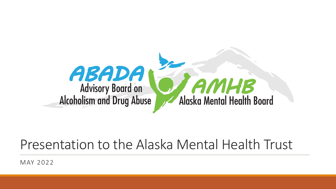

### Presentation to the Alaska Mental Health Trust

MAY 2022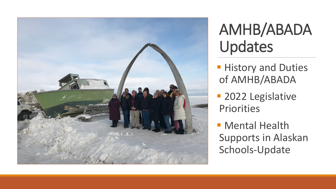

### AMHB/ABADA Updates

- **History and Duties** of AMHB/ABADA
- **2022 Legislative** Priorities
- **Mental Health** Supports in Alaskan Schools-Update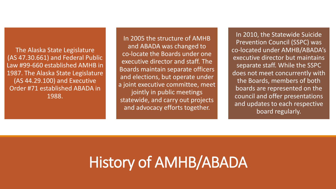The Alaska State Legislature (AS 47.30.661) and Federal Public Law #99-660 established AMHB in 1987. The Alaska State Legislature (AS 44.29.100) and Executive Order #71 established ABADA in 1988.

In 2005 the structure of AMHB and ABADA was changed to co-locate the Boards under one executive director and staff. The Boards maintain separate officers and elections, but operate under a joint executive committee, meet jointly in public meetings statewide, and carry out projects and advocacy efforts together.

In 2010, the Statewide Suicide Prevention Council (SSPC) was co-located under AMHB/ABADA's executive director but maintains separate staff. While the SSPC does not meet concurrently with the Boards, members of both boards are represented on the council and offer presentations and updates to each respective board regularly.

### History of AMHB/ABADA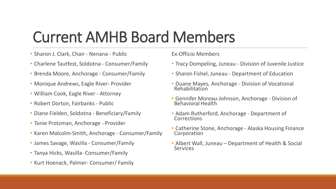### Current AMHB Board Members

- Sharon J. Clark, Chair Nenana Public
- Charlene Tautfest, Soldotna Consumer/Family
- Brenda Moore, Anchorage Consumer/Family
- Monique Andrews, Eagle River- Provider
- William Cook, Eagle River Attorney
- Robert Dorton, Fairbanks Public
- Diane Fielden, Soldotna Beneficiary/Family
- Tonie Protzman, Anchorage Provider
- Karen Malcolm-Smith, Anchorage Consumer/Family
- James Savage, Wasilla Consumer/Family
- Tanya Hicks, Wasilla- Consumer/Family
- Kurt Hoenack, Palmer- Consumer/ Family

Ex-Officio Members

- Tracy Dompeling, Juneau Division of Juvenile Justice
- Sharon Fishel, Juneau Department of Education
- Duane Mayes, Anchorage Division of Vocational Rehabilitation
- Gennifer Moreau-Johnson, Anchorage Division of Behavioral Health
- Adam Rutherford, Anchorage Department of **Corrections**
- Catherine Stone, Anchorage Alaska Housing Finance Corporation
- Albert Wall, Juneau Department of Health & Social **Services**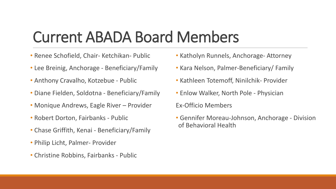### Current ABADA Board Members

- Renee Schofield, Chair- Ketchikan- Public
- Lee Breinig, Anchorage Beneficiary/Family
- Anthony Cravalho, Kotzebue Public
- Diane Fielden, Soldotna Beneficiary/Family
- Monique Andrews, Eagle River Provider
- Robert Dorton, Fairbanks Public
- Chase Griffith, Kenai Beneficiary/Family
- Philip Licht, Palmer- Provider
- Christine Robbins, Fairbanks Public
- Katholyn Runnels, Anchorage- Attorney
- Kara Nelson, Palmer-Beneficiary/ Family
- Kathleen Totemoff, Ninilchik- Provider
- Enlow Walker, North Pole Physician

Ex-Officio Members

• Gennifer Moreau-Johnson, Anchorage - Division of Behavioral Health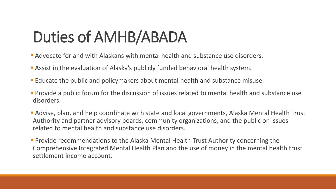## Duties of AMHB/ABADA

- **Advocate for and with Alaskans with mental health and substance use disorders.**
- Assist in the evaluation of Alaska's publicly funded behavioral health system.
- Educate the public and policymakers about mental health and substance misuse.
- **Provide a public forum for the discussion of issues related to mental health and substance use** disorders.
- Advise, plan, and help coordinate with state and local governments, Alaska Mental Health Trust Authority and partner advisory boards, community organizations, and the public on issues related to mental health and substance use disorders.
- **Provide recommendations to the Alaska Mental Health Trust Authority concerning the** Comprehensive Integrated Mental Health Plan and the use of money in the mental health trust settlement income account.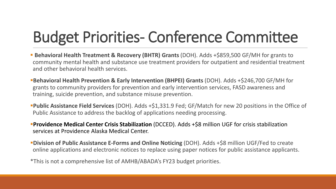# Budget Priorities- Conference Committee

**Behavioral Health Treatment & Recovery (BHTR) Grants** (DOH). Adds +\$859,500 GF/MH for grants to community mental health and substance use treatment providers for outpatient and residential treatment and other behavioral health services.

**Behavioral Health Prevention & Early Intervention (BHPEI) Grants** (DOH). Adds +\$246,700 GF/MH for grants to community providers for prevention and early intervention services, FASD awareness and training, suicide prevention, and substance misuse prevention.

**Public Assistance Field Services** (DOH). Adds +\$1,331.9 Fed; GF/Match for new 20 positions in the Office of Public Assistance to address the backlog of applications needing processing.

**Providence Medical Center Crisis Stabilization** (DCCED). Adds +\$8 million UGF for crisis stabilization services at Providence Alaska Medical Center.

**Division of Public Assistance E-Forms and Online Noticing** (DOH). Adds +\$8 million UGF/Fed to create online applications and electronic notices to replace using paper notices for public assistance applicants.

\*This is not a comprehensive list of AMHB/ABADA's FY23 budget priorities.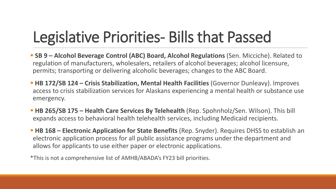# Legislative Priorities- Bills that Passed

- **SB 9 Alcohol Beverage Control (ABC) Board, Alcohol Regulations (Sen. Micciche). Related to** regulation of manufacturers, wholesalers, retailers of alcohol beverages; alcohol licensure, permits; transporting or delivering alcoholic beverages; changes to the ABC Board.
- **HB 172/SB 124 Crisis Stabilization, Mental Health Facilities (Governor Dunleavy). Improves** access to crisis stabilization services for Alaskans experiencing a mental health or substance use emergency.
- **HB 265/SB 175 – Health Care Services By Telehealth** (Rep. Spohnholz/Sen. Wilson). This bill expands access to behavioral health telehealth services, including Medicaid recipients.
- **HB 168 Electronic Application for State Benefits** (Rep. Snyder). Requires DHSS to establish an electronic application process for all public assistance programs under the department and allows for applicants to use either paper or electronic applications.

\*This is not a comprehensive list of AMHB/ABADA's FY23 bill priorities.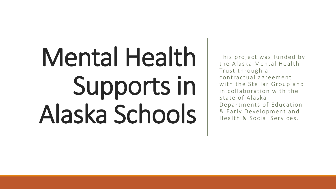# Mental Health Supports in Alaska Schools

This project was funded by the Alaska Mental Health Trust through a contractual agreement with the Stellar Group and in collaboration with the State of Alaska Departments of Education & Early Development and Health & Social Services.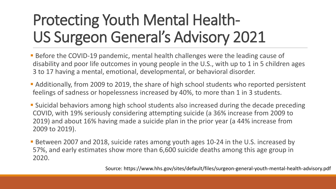# Protecting Youth Mental Health-US Surgeon General's Advisory 2021

- **Before the COVID-19 pandemic, mental health challenges were the leading cause of** disability and poor life outcomes in young people in the U.S., with up to 1 in 5 children ages 3 to 17 having a mental, emotional, developmental, or behavioral disorder.
- Additionally, from 2009 to 2019, the share of high school students who reported persistent feelings of sadness or hopelessness increased by 40%, to more than 1 in 3 students.
- Suicidal behaviors among high school students also increased during the decade preceding COVID, with 19% seriously considering attempting suicide (a 36% increase from 2009 to 2019) and about 16% having made a suicide plan in the prior year (a 44% increase from 2009 to 2019).
- Between 2007 and 2018, suicide rates among youth ages 10-24 in the U.S. increased by 57%, and early estimates show more than 6,600 suicide deaths among this age group in 2020.

Source: https://www.hhs.gov/sites/default/files/surgeon-general-youth-mental-health-advisory.pdf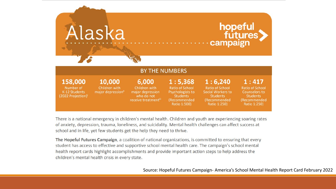

There is a national emergency in children's mental health. Children and youth are experiencing soaring rates of anxiety, depression, trauma, loneliness, and suicidality. Mental health challenges can affect success at school and in life, yet few students get the help they need to thrive.

The Hopeful Futures Campaign, a coalition of national organizations, is committed to ensuring that every student has access to effective and supportive school mental health care. The campaign's school mental health report cards highlight accomplishments and provide important action steps to help address the children's mental health crisis in every state.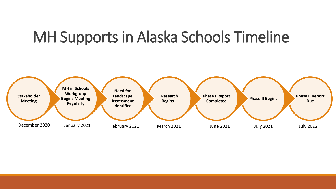### MH Supports in Alaska Schools Timeline

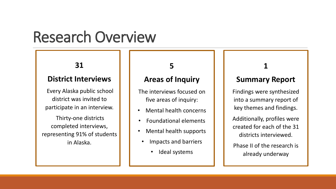### Research Overview

#### **31**

#### **District Interviews**

Every Alaska public school district was invited to participate in an interview.

Thirty-one districts completed interviews, representing 91% of students in Alaska.

#### **5**

#### **Areas of Inquiry**

The interviews focused on five areas of inquiry:

- Mental health concerns
- Foundational elements
- Mental health supports
- Impacts and barriers
	- Ideal systems

#### **1**

#### **Summary Report**

Findings were synthesized into a summary report of key themes and findings.

Additionally, profiles were created for each of the 31 districts interviewed.

Phase II of the research is already underway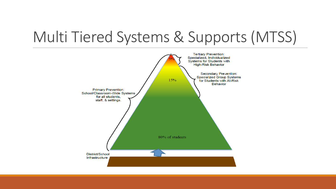### Multi Tiered Systems & Supports (MTSS)

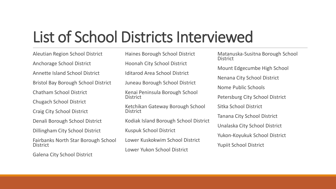### List of School Districts Interviewed

Aleutian Region School District Anchorage School District Annette Island School District Bristol Bay Borough School District Chatham School District Chugach School District Craig City School District Denali Borough School District Dillingham City School District Fairbanks North Star Borough School **District** Galena City School District

Haines Borough School District Hoonah City School District Iditarod Area School District Juneau Borough School District Kenai Peninsula Borough School **District** Ketchikan Gateway Borough School District Kodiak Island Borough School District Kuspuk School District Lower Kuskokwim School District Lower Yukon School District

Matanuska-Susitna Borough School **District** Mount Edgecumbe High School Nenana City School District Nome Public Schools Petersburg City School District Sitka School District Tanana City School District Unalaska City School District Yukon-Koyukuk School District Yupiit School District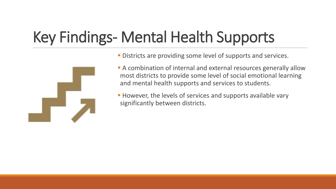# Key Findings- Mental Health Supports



- **Districts are providing some level of supports and services.**
- A combination of internal and external resources generally allow most districts to provide some level of social emotional learning and mental health supports and services to students.

**However, the levels of services and supports available vary** significantly between districts.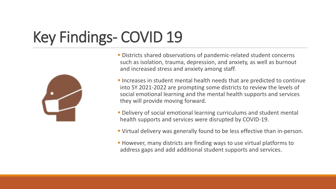# Key Findings- COVID 19



- Districts shared observations of pandemic-related student concerns such as isolation, trauma, depression, and anxiety, as well as burnout and increased stress and anxiety among staff.
- Increases in student mental health needs that are predicted to continue into SY 2021-2022 are prompting some districts to review the levels of social emotional learning and the mental health supports and services they will provide moving forward.
- **Delivery of social emotional learning curriculums and student mental** health supports and services were disrupted by COVID-19.
- Virtual delivery was generally found to be less effective than in-person.
- **However, many districts are finding ways to use virtual platforms to** address gaps and add additional student supports and services.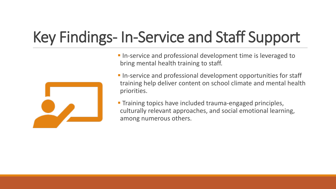# Key Findings- In-Service and Staff Support



**In-service and professional development time is leveraged to** bring mental health training to staff.

- **In-service and professional development opportunities for staff** training help deliver content on school climate and mental health priorities.
- **Training topics have included trauma-engaged principles,** culturally relevant approaches, and social emotional learning, among numerous others.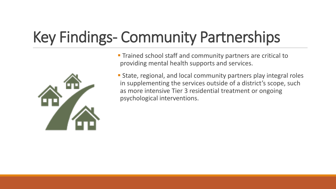# Key Findings- Community Partnerships



**Trained school staff and community partners are critical to** providing mental health supports and services.

 State, regional, and local community partners play integral roles in supplementing the services outside of a district's scope, such as more intensive Tier 3 residential treatment or ongoing psychological interventions.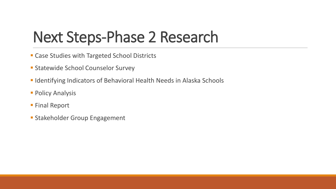### Next Steps-Phase 2 Research

- **Case Studies with Targeted School Districts**
- **Statewide School Counselor Survey**
- **Indentifying Indicators of Behavioral Health Needs in Alaska Schools**
- **Policy Analysis**
- **Final Report**
- **Stakeholder Group Engagement**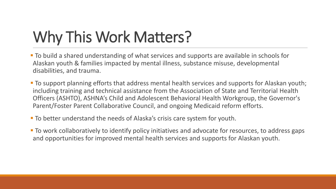# Why This Work Matters?

- To build a shared understanding of what services and supports are available in schools for Alaskan youth & families impacted by mental illness, substance misuse, developmental disabilities, and trauma.
- **To support planning efforts that address mental health services and supports for Alaskan youth;** including training and technical assistance from the Association of State and Territorial Health Officers (ASHTO), ASHNA's Child and Adolescent Behavioral Health Workgroup, the Governor's Parent/Foster Parent Collaborative Council, and ongoing Medicaid reform efforts.
- To better understand the needs of Alaska's crisis care system for youth.
- **To work collaboratively to identify policy initiatives and advocate for resources, to address gaps** and opportunities for improved mental health services and supports for Alaskan youth.